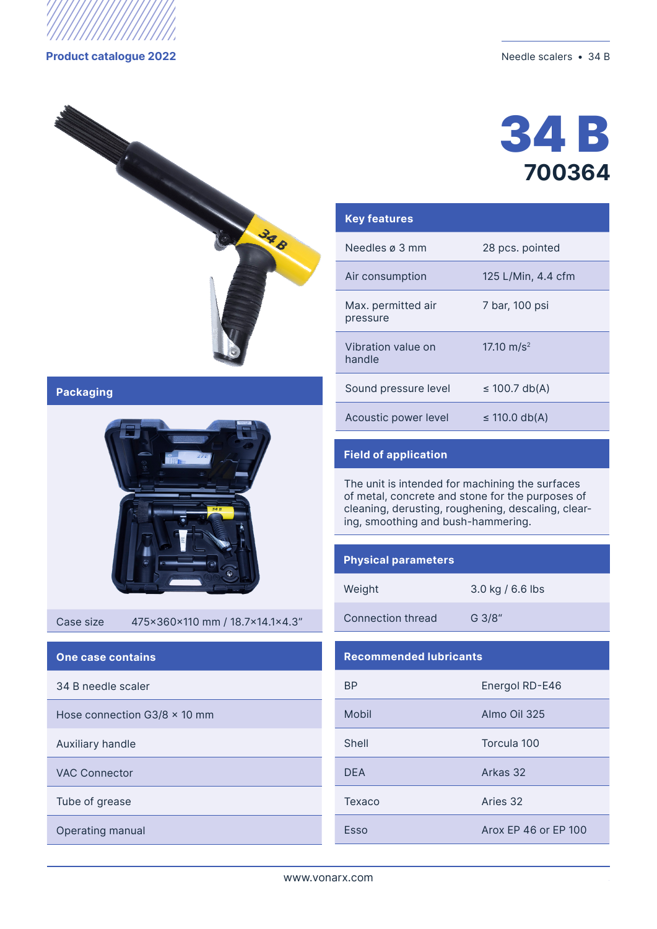

## **Product catalogue 2022** Needle scalers • 34 B



**Packaging**



#### Case size 475x360x110 mm / 18.7x14.1x4.3"

## **One case contains**

34 B needle scaler

Hose connection  $G3/8 \times 10$  mm

Auxiliary handle

VAC Connector

Тube of grease

Operating manual



| <b>Key features</b>            |                    |  |  |
|--------------------------------|--------------------|--|--|
| Needles ø 3 mm                 | 28 pcs. pointed    |  |  |
| Air consumption                | 125 L/Min, 4.4 cfm |  |  |
| Max. permitted air<br>pressure | 7 bar, 100 psi     |  |  |
| Vibration value on<br>handle   | 17.10 $m/s^2$      |  |  |
| Sound pressure level           | $\leq$ 100.7 db(A) |  |  |
| Acoustic power level           | ≤ 110.0 db(A)      |  |  |

# **Field of application**

The unit is intended for machining the surfaces of metal, concrete and stone for the purposes of cleaning, derusting, roughening, descaling, clearing, smoothing and bush-hammering.

## **Physical parameters**

3.0 kg / 6.6 lbs

Connection thread G 3/8"

### **Recommended lubricants**

| ВP         | Energol RD-E46       |  |  |
|------------|----------------------|--|--|
| Mobil      | Almo Oil 325         |  |  |
| Shell      | Torcula 100          |  |  |
| <b>DEA</b> | Arkas 32             |  |  |
| Texaco     | Aries 32             |  |  |
| Esso       | Arox FP 46 or FP 100 |  |  |